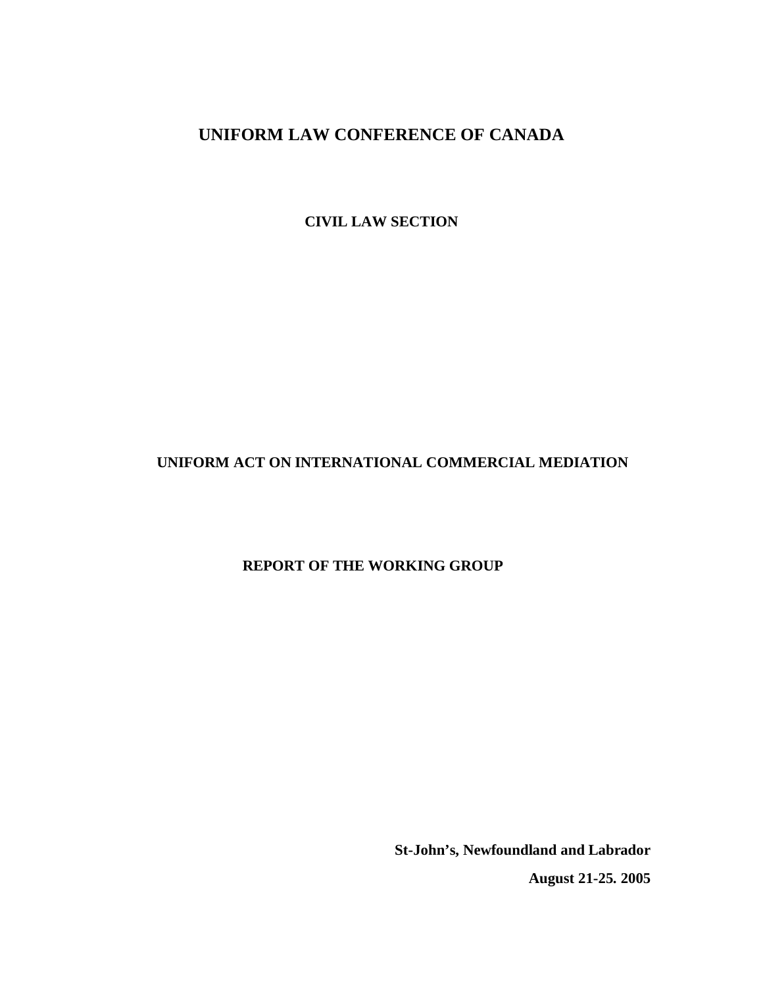**CIVIL LAW SECTION**

# **UNIFORM ACT ON INTERNATIONAL COMMERCIAL MEDIATION**

# **REPORT OF THE WORKING GROUP**

**St-John's, Newfoundland and Labrador August 21-25. 2005**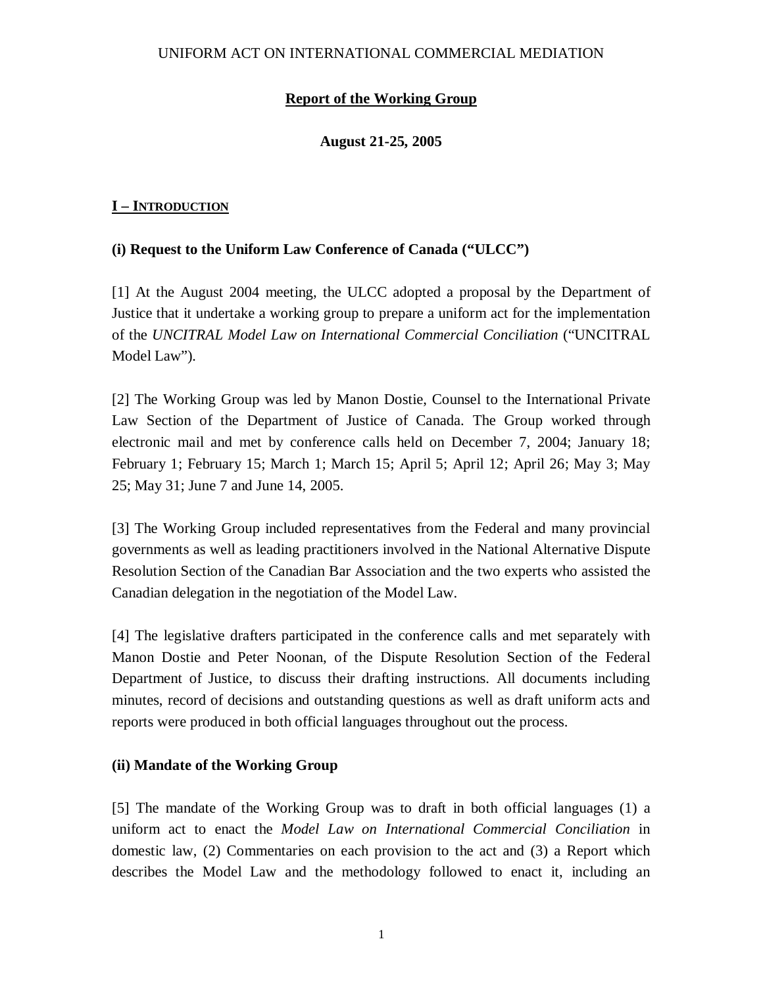# **Report of the Working Group**

## **August 21-25, 2005**

## **I – INTRODUCTION**

## **(i) Request to the Uniform Law Conference of Canada ("ULCC")**

[1] At the August 2004 meeting, the ULCC adopted a proposal by the Department of Justice that it undertake a working group to prepare a uniform act for the implementation of the *UNCITRAL Model Law on International Commercial Conciliation* ("UNCITRAL Model Law")*.*

[2] The Working Group was led by Manon Dostie, Counsel to the International Private Law Section of the Department of Justice of Canada. The Group worked through electronic mail and met by conference calls held on December 7, 2004; January 18; February 1; February 15; March 1; March 15; April 5; April 12; April 26; May 3; May 25; May 31; June 7 and June 14, 2005.

[3] The Working Group included representatives from the Federal and many provincial governments as well as leading practitioners involved in the National Alternative Dispute Resolution Section of the Canadian Bar Association and the two experts who assisted the Canadian delegation in the negotiation of the Model Law.

[4] The legislative drafters participated in the conference calls and met separately with Manon Dostie and Peter Noonan, of the Dispute Resolution Section of the Federal Department of Justice, to discuss their drafting instructions. All documents including minutes, record of decisions and outstanding questions as well as draft uniform acts and reports were produced in both official languages throughout out the process.

## **(ii) Mandate of the Working Group**

[5] The mandate of the Working Group was to draft in both official languages (1) a uniform act to enact the *Model Law on International Commercial Conciliation* in domestic law, (2) Commentaries on each provision to the act and (3) a Report which describes the Model Law and the methodology followed to enact it, including an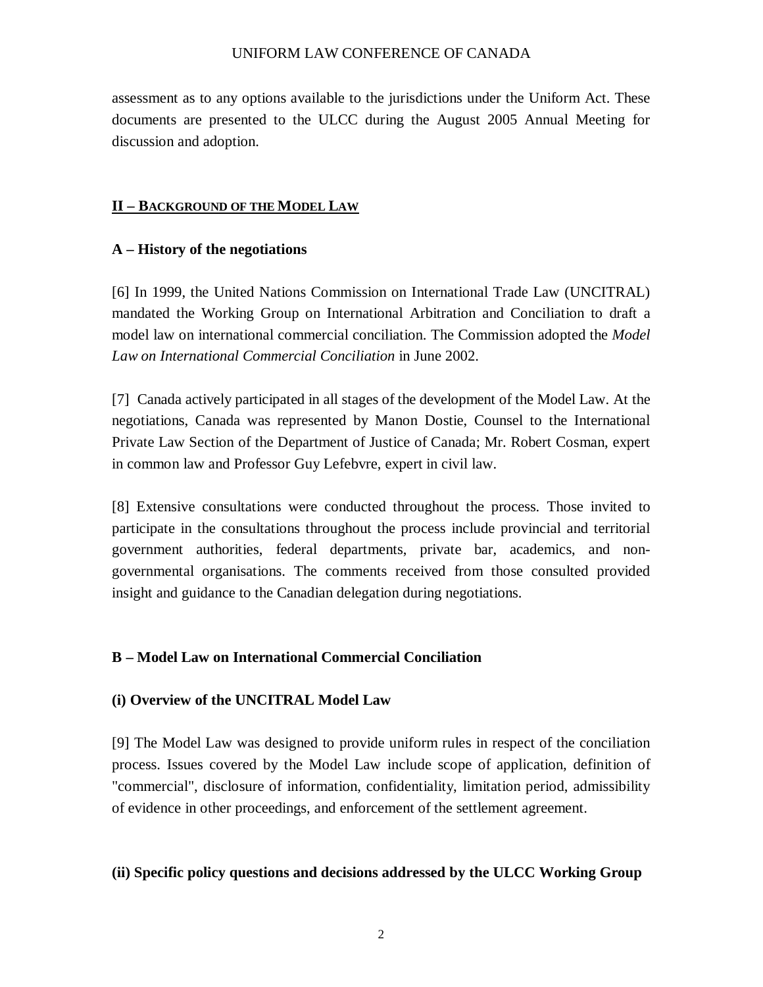assessment as to any options available to the jurisdictions under the Uniform Act. These documents are presented to the ULCC during the August 2005 Annual Meeting for discussion and adoption.

### **II – BACKGROUND OF THE MODEL LAW**

### **A – History of the negotiations**

[6] In 1999, the United Nations Commission on International Trade Law (UNCITRAL) mandated the Working Group on International Arbitration and Conciliation to draft a model law on international commercial conciliation. The Commission adopted the *Model Law on International Commercial Conciliation* in June 2002.

[7] Canada actively participated in all stages of the development of the Model Law. At the negotiations, Canada was represented by Manon Dostie, Counsel to the International Private Law Section of the Department of Justice of Canada; Mr. Robert Cosman, expert in common law and Professor Guy Lefebvre, expert in civil law.

[8] Extensive consultations were conducted throughout the process. Those invited to participate in the consultations throughout the process include provincial and territorial government authorities, federal departments, private bar, academics, and nongovernmental organisations. The comments received from those consulted provided insight and guidance to the Canadian delegation during negotiations.

## **B – Model Law on International Commercial Conciliation**

### **(i) Overview of the UNCITRAL Model Law**

[9] The Model Law was designed to provide uniform rules in respect of the conciliation process. Issues covered by the Model Law include scope of application, definition of "commercial", disclosure of information, confidentiality, limitation period, admissibility of evidence in other proceedings, and enforcement of the settlement agreement.

### **(ii) Specific policy questions and decisions addressed by the ULCC Working Group**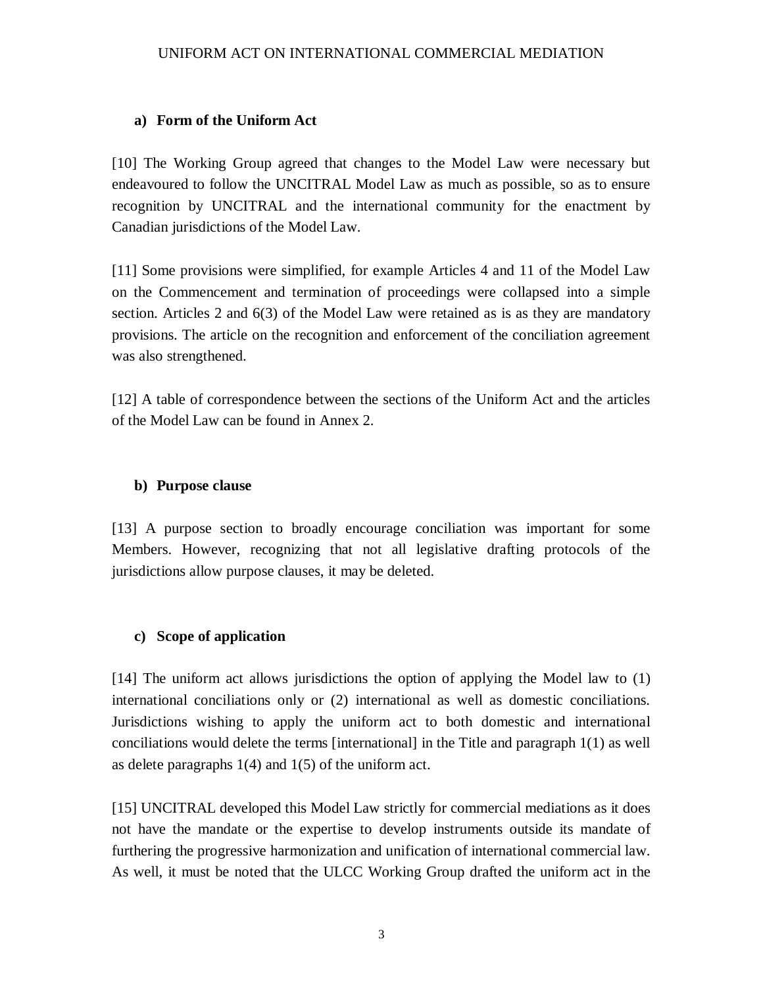## **a) Form of the Uniform Act**

[10] The Working Group agreed that changes to the Model Law were necessary but endeavoured to follow the UNCITRAL Model Law as much as possible, so as to ensure recognition by UNCITRAL and the international community for the enactment by Canadian jurisdictions of the Model Law.

[11] Some provisions were simplified, for example Articles 4 and 11 of the Model Law on the Commencement and termination of proceedings were collapsed into a simple section. Articles 2 and 6(3) of the Model Law were retained as is as they are mandatory provisions. The article on the recognition and enforcement of the conciliation agreement was also strengthened.

[12] A table of correspondence between the sections of the Uniform Act and the articles of the Model Law can be found in Annex 2.

## **b) Purpose clause**

[13] A purpose section to broadly encourage conciliation was important for some Members. However, recognizing that not all legislative drafting protocols of the jurisdictions allow purpose clauses, it may be deleted.

# **c) Scope of application**

[14] The uniform act allows jurisdictions the option of applying the Model law to (1) international conciliations only or (2) international as well as domestic conciliations. Jurisdictions wishing to apply the uniform act to both domestic and international conciliations would delete the terms [international] in the Title and paragraph 1(1) as well as delete paragraphs  $1(4)$  and  $1(5)$  of the uniform act.

[15] UNCITRAL developed this Model Law strictly for commercial mediations as it does not have the mandate or the expertise to develop instruments outside its mandate of furthering the progressive harmonization and unification of international commercial law. As well, it must be noted that the ULCC Working Group drafted the uniform act in the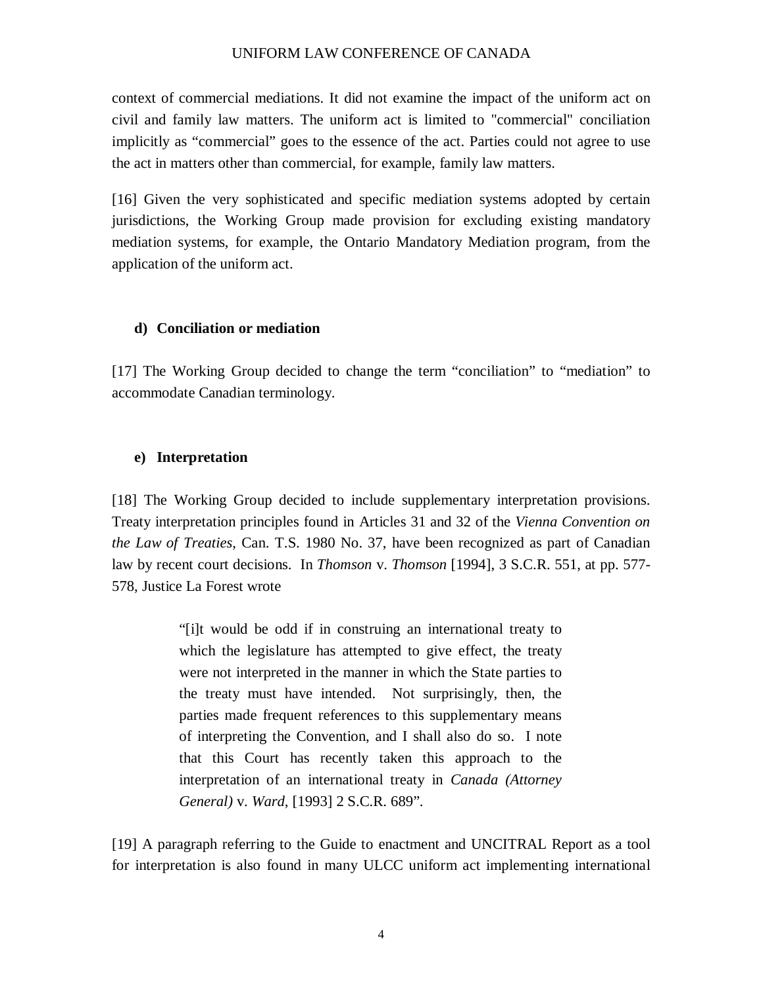context of commercial mediations. It did not examine the impact of the uniform act on civil and family law matters. The uniform act is limited to "commercial" conciliation implicitly as "commercial" goes to the essence of the act. Parties could not agree to use the act in matters other than commercial, for example, family law matters.

[16] Given the very sophisticated and specific mediation systems adopted by certain jurisdictions, the Working Group made provision for excluding existing mandatory mediation systems, for example, the Ontario Mandatory Mediation program, from the application of the uniform act.

### **d) Conciliation or mediation**

[17] The Working Group decided to change the term "conciliation" to "mediation" to accommodate Canadian terminology.

### **e) Interpretation**

[18] The Working Group decided to include supplementary interpretation provisions. Treaty interpretation principles found in Articles 31 and 32 of the *Vienna Convention on the Law of Treaties*, Can. T.S. 1980 No. 37, have been recognized as part of Canadian law by recent court decisions. In *Thomson* v. *Thomson* [1994], 3 S.C.R. 551, at pp. 577-578, Justice La Forest wrote

> "[i]t would be odd if in construing an international treaty to which the legislature has attempted to give effect, the treaty were not interpreted in the manner in which the State parties to the treaty must have intended. Not surprisingly, then, the parties made frequent references to this supplementary means of interpreting the Convention, and I shall also do so. I note that this Court has recently taken this approach to the interpretation of an international treaty in *Canada (Attorney General)* v. *Ward*, [1993] 2 S.C.R. 689".

[19] A paragraph referring to the Guide to enactment and UNCITRAL Report as a tool for interpretation is also found in many ULCC uniform act implementing international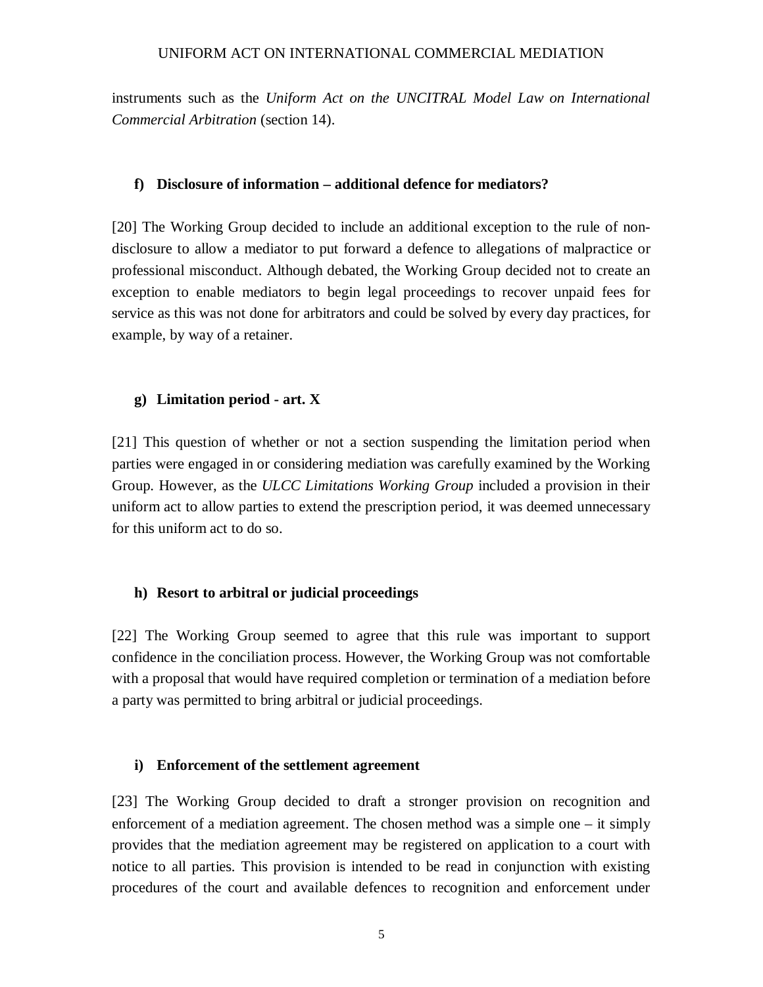instruments such as the *Uniform Act on the UNCITRAL Model Law on International Commercial Arbitration* (section 14).

### **f) Disclosure of information – additional defence for mediators?**

[20] The Working Group decided to include an additional exception to the rule of nondisclosure to allow a mediator to put forward a defence to allegations of malpractice or professional misconduct. Although debated, the Working Group decided not to create an exception to enable mediators to begin legal proceedings to recover unpaid fees for service as this was not done for arbitrators and could be solved by every day practices, for example, by way of a retainer.

### **g) Limitation period - art. X**

[21] This question of whether or not a section suspending the limitation period when parties were engaged in or considering mediation was carefully examined by the Working Group. However, as the *ULCC Limitations Working Group* included a provision in their uniform act to allow parties to extend the prescription period, it was deemed unnecessary for this uniform act to do so.

### **h) Resort to arbitral or judicial proceedings**

[22] The Working Group seemed to agree that this rule was important to support confidence in the conciliation process. However, the Working Group was not comfortable with a proposal that would have required completion or termination of a mediation before a party was permitted to bring arbitral or judicial proceedings.

#### **i) Enforcement of the settlement agreement**

[23] The Working Group decided to draft a stronger provision on recognition and enforcement of a mediation agreement. The chosen method was a simple one – it simply provides that the mediation agreement may be registered on application to a court with notice to all parties. This provision is intended to be read in conjunction with existing procedures of the court and available defences to recognition and enforcement under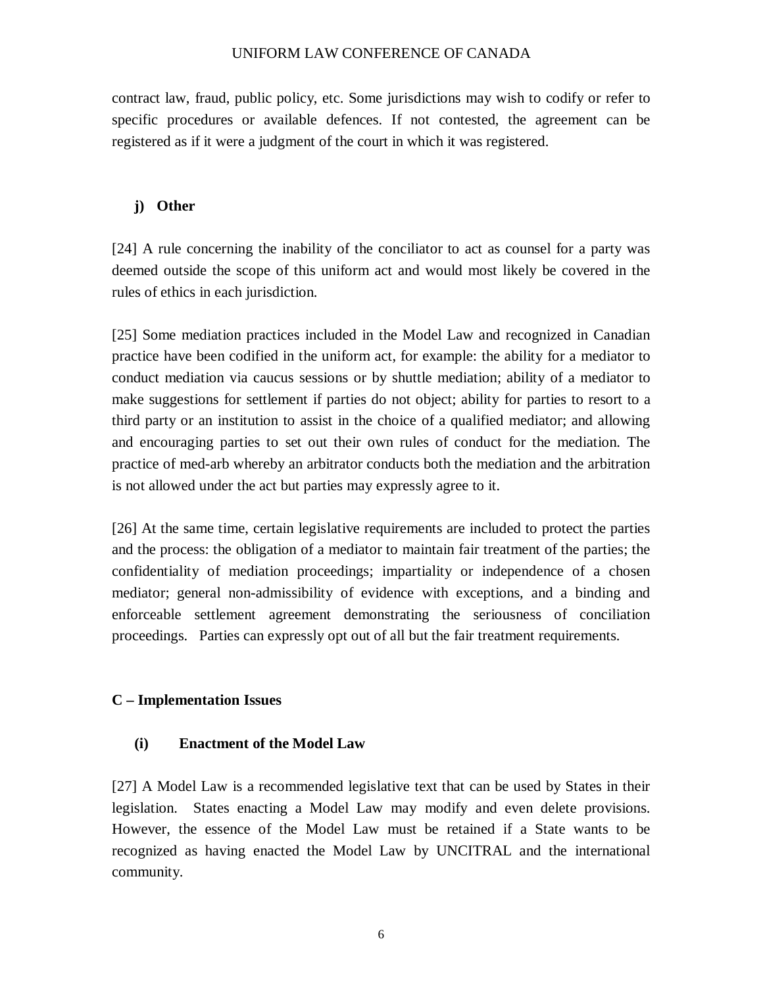contract law, fraud, public policy, etc. Some jurisdictions may wish to codify or refer to specific procedures or available defences. If not contested, the agreement can be registered as if it were a judgment of the court in which it was registered.

## **j) Other**

[24] A rule concerning the inability of the conciliator to act as counsel for a party was deemed outside the scope of this uniform act and would most likely be covered in the rules of ethics in each jurisdiction.

[25] Some mediation practices included in the Model Law and recognized in Canadian practice have been codified in the uniform act, for example: the ability for a mediator to conduct mediation via caucus sessions or by shuttle mediation; ability of a mediator to make suggestions for settlement if parties do not object; ability for parties to resort to a third party or an institution to assist in the choice of a qualified mediator; and allowing and encouraging parties to set out their own rules of conduct for the mediation. The practice of med-arb whereby an arbitrator conducts both the mediation and the arbitration is not allowed under the act but parties may expressly agree to it.

[26] At the same time, certain legislative requirements are included to protect the parties and the process: the obligation of a mediator to maintain fair treatment of the parties; the confidentiality of mediation proceedings; impartiality or independence of a chosen mediator; general non-admissibility of evidence with exceptions, and a binding and enforceable settlement agreement demonstrating the seriousness of conciliation proceedings. Parties can expressly opt out of all but the fair treatment requirements.

## **C – Implementation Issues**

## **(i) Enactment of the Model Law**

[27] A Model Law is a recommended legislative text that can be used by States in their legislation. States enacting a Model Law may modify and even delete provisions. However, the essence of the Model Law must be retained if a State wants to be recognized as having enacted the Model Law by UNCITRAL and the international community.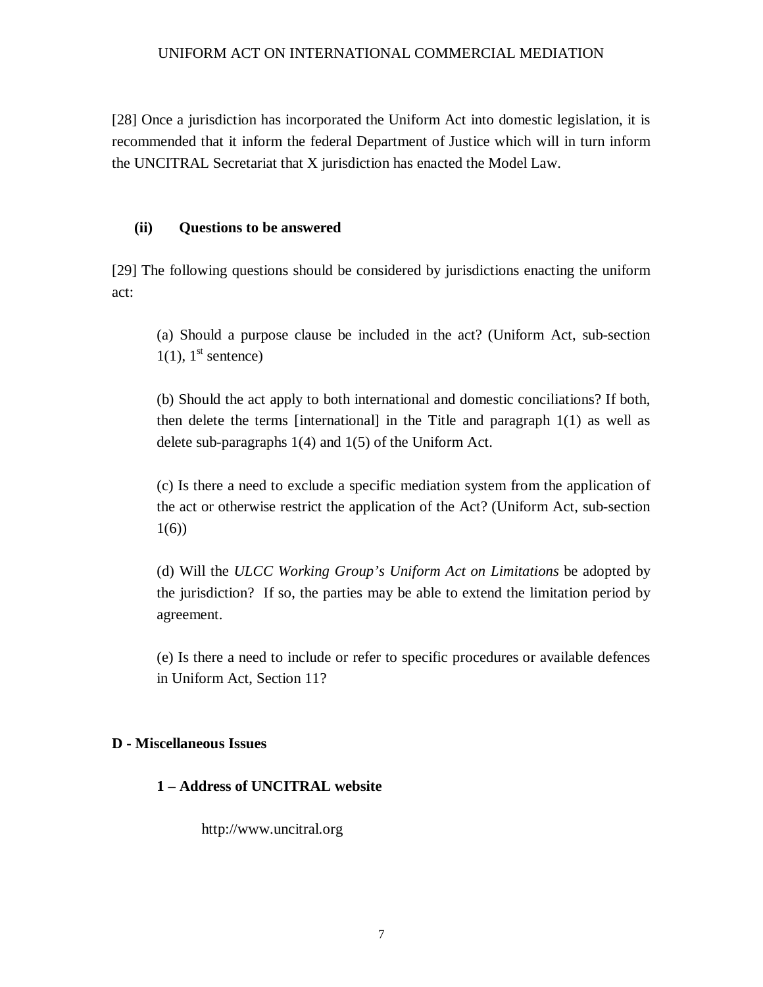[28] Once a jurisdiction has incorporated the Uniform Act into domestic legislation, it is recommended that it inform the federal Department of Justice which will in turn inform the UNCITRAL Secretariat that X jurisdiction has enacted the Model Law.

### **(ii) Questions to be answered**

[29] The following questions should be considered by jurisdictions enacting the uniform act:

(a) Should a purpose clause be included in the act? (Uniform Act, sub-section  $1(1)$ , 1<sup>st</sup> sentence)

(b) Should the act apply to both international and domestic conciliations? If both, then delete the terms [international] in the Title and paragraph  $1(1)$  as well as delete sub-paragraphs 1(4) and 1(5) of the Uniform Act.

(c) Is there a need to exclude a specific mediation system from the application of the act or otherwise restrict the application of the Act? (Uniform Act, sub-section 1(6))

(d) Will the *ULCC Working Group's Uniform Act on Limitations* be adopted by the jurisdiction? If so, the parties may be able to extend the limitation period by agreement.

(e) Is there a need to include or refer to specific procedures or available defences in Uniform Act, Section 11?

## **D - Miscellaneous Issues**

## **1 – Address of UNCITRAL website**

http://www.uncitral.org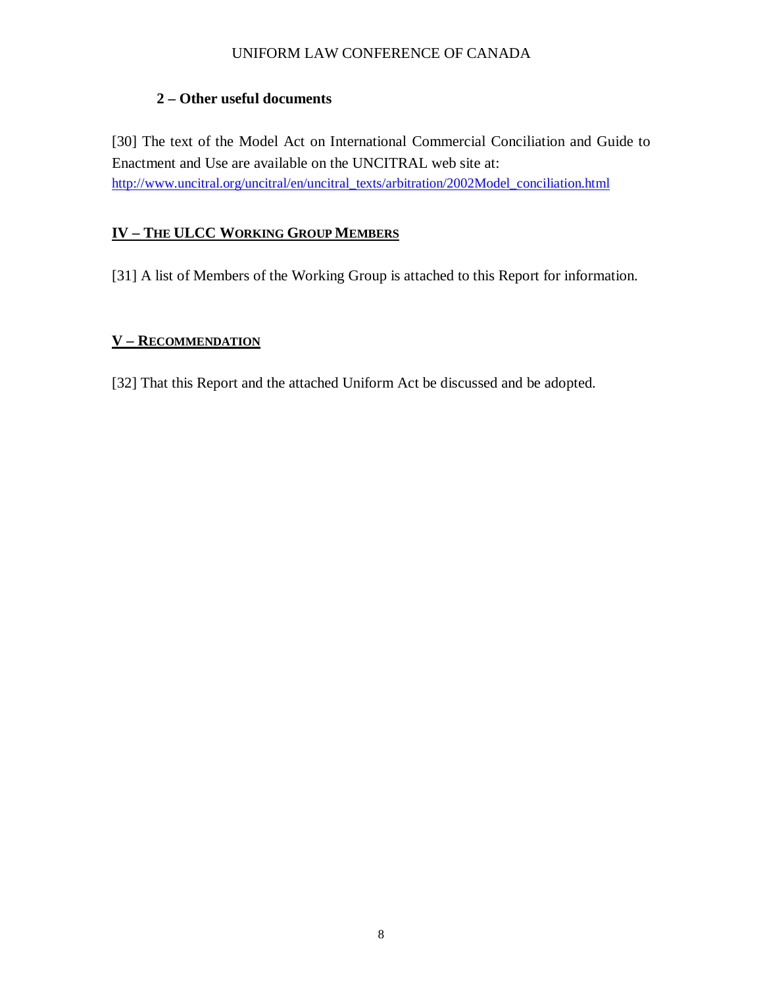# **2 – Other useful documents**

[30] The text of the Model Act on International Commercial Conciliation and Guide to Enactment and Use are available on the UNCITRAL web site at: http://www.uncitral.org/uncitral/en/uncitral\_texts/arbitration/2002Model\_conciliation.html

## **IV – THE ULCC WORKING GROUP MEMBERS**

[31] A list of Members of the Working Group is attached to this Report for information.

## **V – RECOMMENDATION**

[32] That this Report and the attached Uniform Act be discussed and be adopted.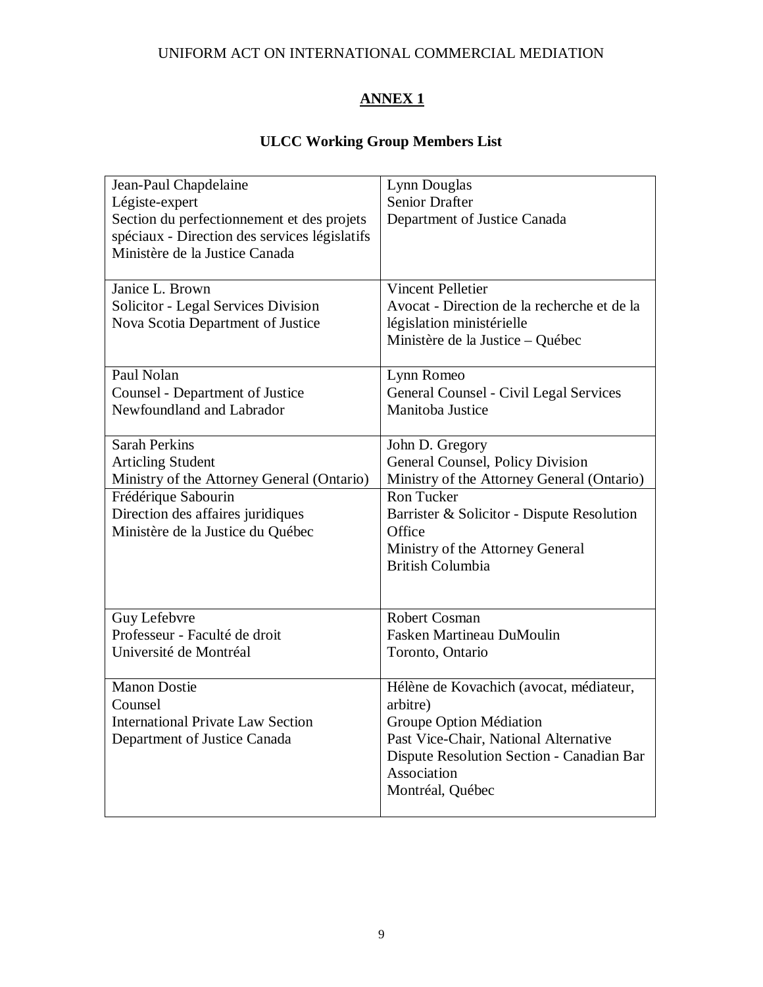# **ANNEX 1**

# **ULCC Working Group Members List**

| Jean-Paul Chapdelaine                         | Lynn Douglas                                |
|-----------------------------------------------|---------------------------------------------|
| Légiste-expert                                | <b>Senior Drafter</b>                       |
| Section du perfectionnement et des projets    | Department of Justice Canada                |
| spéciaux - Direction des services législatifs |                                             |
| Ministère de la Justice Canada                |                                             |
|                                               |                                             |
| Janice L. Brown                               | <b>Vincent Pelletier</b>                    |
| Solicitor - Legal Services Division           | Avocat - Direction de la recherche et de la |
| Nova Scotia Department of Justice             | législation ministérielle                   |
|                                               | Ministère de la Justice – Québec            |
|                                               |                                             |
| Paul Nolan                                    | Lynn Romeo                                  |
| <b>Counsel - Department of Justice</b>        | General Counsel - Civil Legal Services      |
| Newfoundland and Labrador                     | Manitoba Justice                            |
|                                               |                                             |
| <b>Sarah Perkins</b>                          | John D. Gregory                             |
| <b>Articling Student</b>                      | General Counsel, Policy Division            |
| Ministry of the Attorney General (Ontario)    | Ministry of the Attorney General (Ontario)  |
| Frédérique Sabourin                           | <b>Ron Tucker</b>                           |
| Direction des affaires juridiques             | Barrister & Solicitor - Dispute Resolution  |
| Ministère de la Justice du Québec             | Office                                      |
|                                               | Ministry of the Attorney General            |
|                                               | <b>British Columbia</b>                     |
|                                               |                                             |
|                                               |                                             |
| Guy Lefebvre                                  | Robert Cosman                               |
| Professeur - Faculté de droit                 | <b>Fasken Martineau DuMoulin</b>            |
| Université de Montréal                        | Toronto, Ontario                            |
|                                               |                                             |
| <b>Manon Dostie</b>                           | Hélène de Kovachich (avocat, médiateur,     |
| Counsel                                       | arbitre)                                    |
| <b>International Private Law Section</b>      | Groupe Option Médiation                     |
| Department of Justice Canada                  | Past Vice-Chair, National Alternative       |
|                                               | Dispute Resolution Section - Canadian Bar   |
|                                               | Association                                 |
|                                               | Montréal, Québec                            |
|                                               |                                             |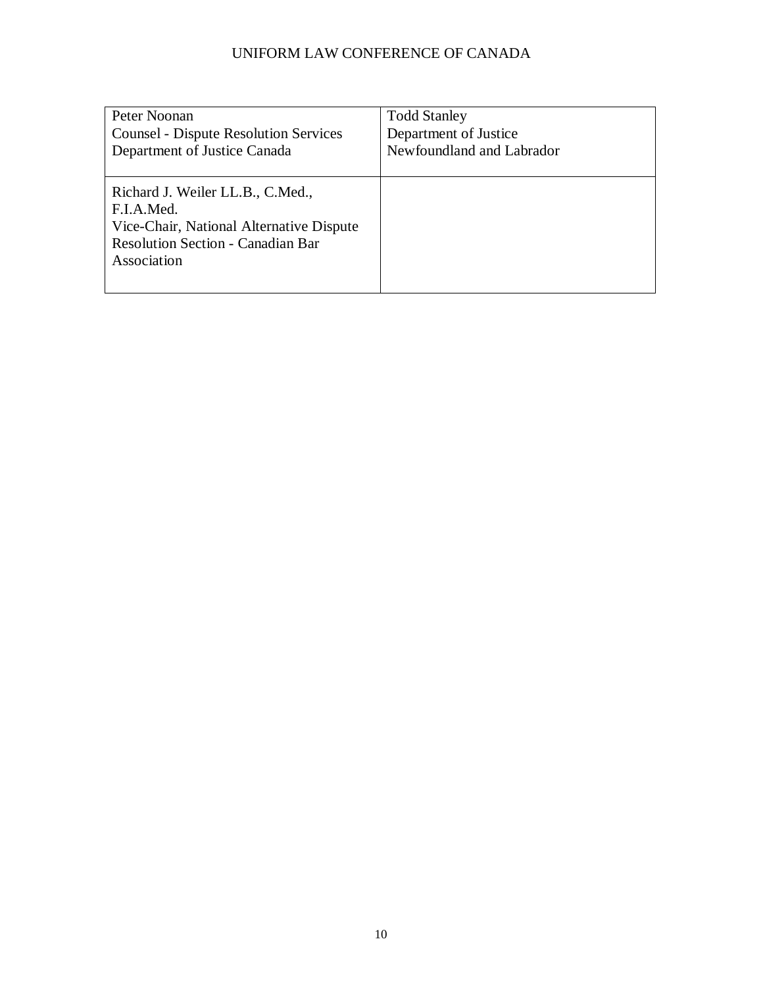| Peter Noonan                                                                                                                                          | <b>Todd Stanley</b>       |
|-------------------------------------------------------------------------------------------------------------------------------------------------------|---------------------------|
| <b>Counsel - Dispute Resolution Services</b>                                                                                                          | Department of Justice     |
| Department of Justice Canada                                                                                                                          | Newfoundland and Labrador |
| Richard J. Weiler LL.B., C.Med.,<br>F.I.A.Med.<br>Vice-Chair, National Alternative Dispute<br><b>Resolution Section - Canadian Bar</b><br>Association |                           |